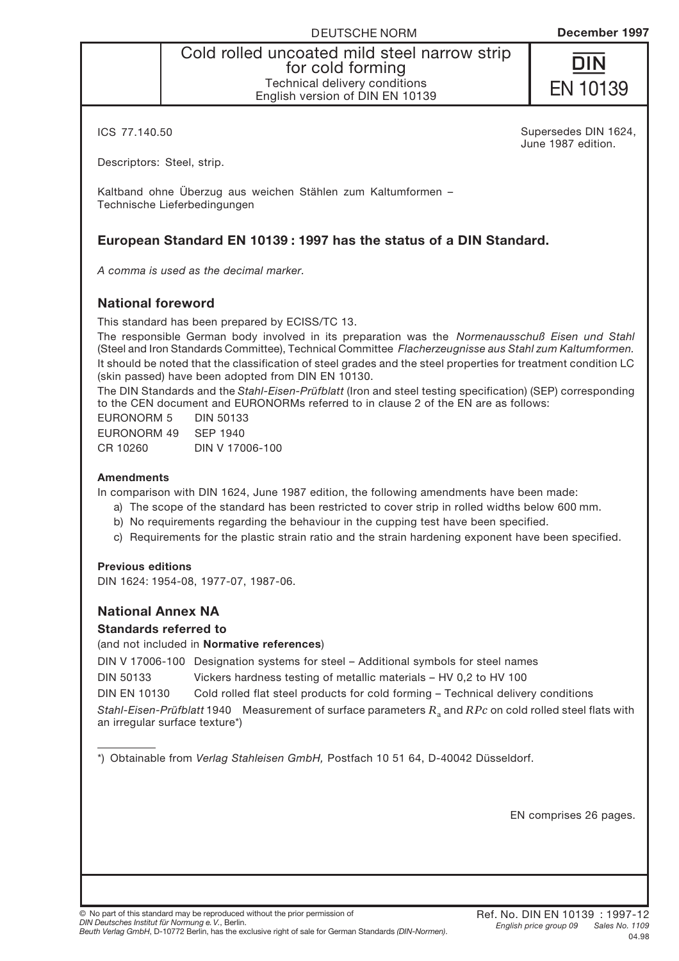Cold rolled uncoated mild steel narrow strip for cold forming Technical delivery conditions English version of DIN EN 10139



ICS 77.140.50

Supersedes DIN 1624, June 1987 edition.

Descriptors: Steel, strip.

Kaltband ohne Überzug aus weichen Stählen zum Kaltumformen – Technische Lieferbedingungen

#### **European Standard EN 10139 : 1997 has the status of a DIN Standard.**

*A comma is used as the decimal marker.*

#### **National foreword**

This standard has been prepared by ECISS/TC 13.

The responsible German body involved in its preparation was the *Normenausschuß Eisen und Stahl* (Steel and Iron Standards Committee), Technical Committee *Flacherzeugnisse aus Stahl zum Kaltumformen.* It should be noted that the classification of steel grades and the steel properties for treatment condition LC (skin passed) have been adopted from DIN EN 10130.

The DIN Standards and the *Stahl-Eisen-Prüfblatt* (Iron and steel testing specification) (SEP) corresponding to the CEN document and EURONORMs referred to in clause 2 of the EN are as follows:

EURONORM 5 DIN 50133 EURONORM 49 SEP 1940 CR 10260 DIN V 17006-100

#### **Amendments**

In comparison with DIN 1624, June 1987 edition, the following amendments have been made:

- a) The scope of the standard has been restricted to cover strip in rolled widths below 600 mm.
- b) No requirements regarding the behaviour in the cupping test have been specified.
- c) Requirements for the plastic strain ratio and the strain hardening exponent have been specified.

#### **Previous editions**

DIN 1624: 1954-08, 1977-07, 1987-06.

#### **National Annex NA**

#### **Standards referred to**

(and not included in **Normative references**)

DIN V 17006-100 Designation systems for steel – Additional symbols for steel names

DIN 50133 Vickers hardness testing of metallic materials – HV 0,2 to HV 100

DIN EN 10130 Cold rolled flat steel products for cold forming – Technical delivery conditions

*Stahl-Eisen-Prüfblatt* 1940 Measurement of surface parameters  $R_a$  and *RPc* on cold rolled steel flats with an irregular surface texture\*)

\*) Obtainable from *Verlag Stahleisen GmbH,* Postfach 10 51 64, D-40042 Düsseldorf.

EN comprises 26 pages.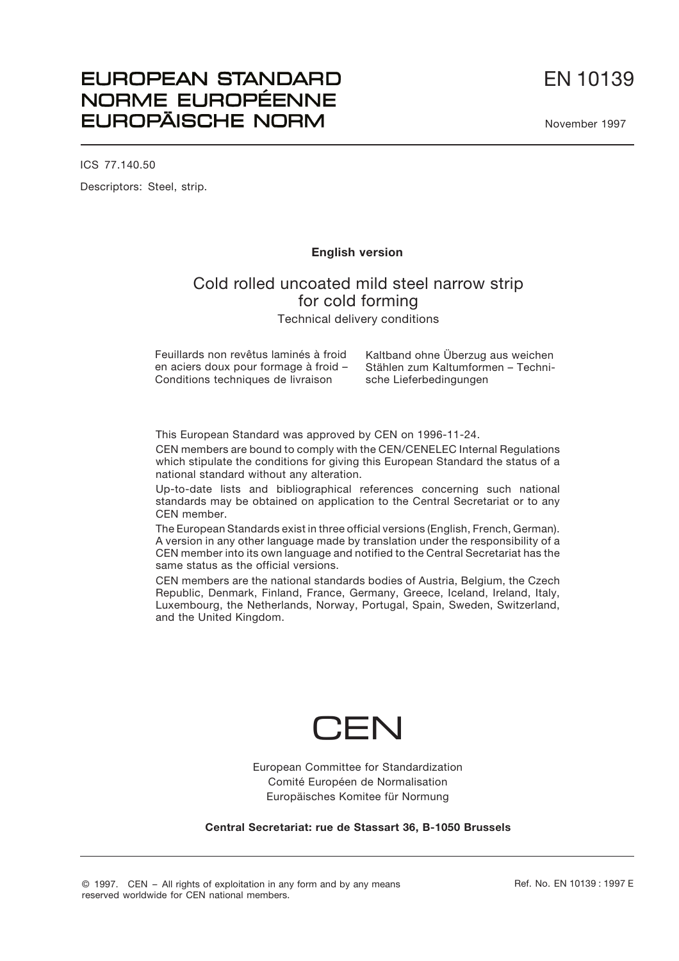EN 10139

November 1997

# **EUROPEAN STANDARD** NORME EUROPÉENNE **EUROPÄISCHE NORM**

ICS 77.140.50 Descriptors: Steel, strip.

#### **English version**

# Cold rolled uncoated mild steel narrow strip for cold forming Technical delivery conditions

Feuillards non revêtus laminés à froid en aciers doux pour formage à froid – Conditions techniques de livraison

Kaltband ohne Überzug aus weichen Stählen zum Kaltumformen – Technische Lieferbedingungen

This European Standard was approved by CEN on 1996-11-24.

CEN members are bound to comply with the CEN/CENELEC Internal Regulations which stipulate the conditions for giving this European Standard the status of a national standard without any alteration.

Up-to-date lists and bibliographical references concerning such national standards may be obtained on application to the Central Secretariat or to any CEN member.

The European Standards exist in three official versions (English, French, German). A version in any other language made by translation under the responsibility of a CEN member into its own language and notified to the Central Secretariat has the same status as the official versions.

CEN members are the national standards bodies of Austria, Belgium, the Czech Republic, Denmark, Finland, France, Germany, Greece, Iceland, Ireland, Italy, Luxembourg, the Netherlands, Norway, Portugal, Spain, Sweden, Switzerland, and the United Kingdom.



European Committee for Standardization Comité Européen de Normalisation Europäisches Komitee für Normung

**Central Secretariat: rue de Stassart 36, B-1050 Brussels**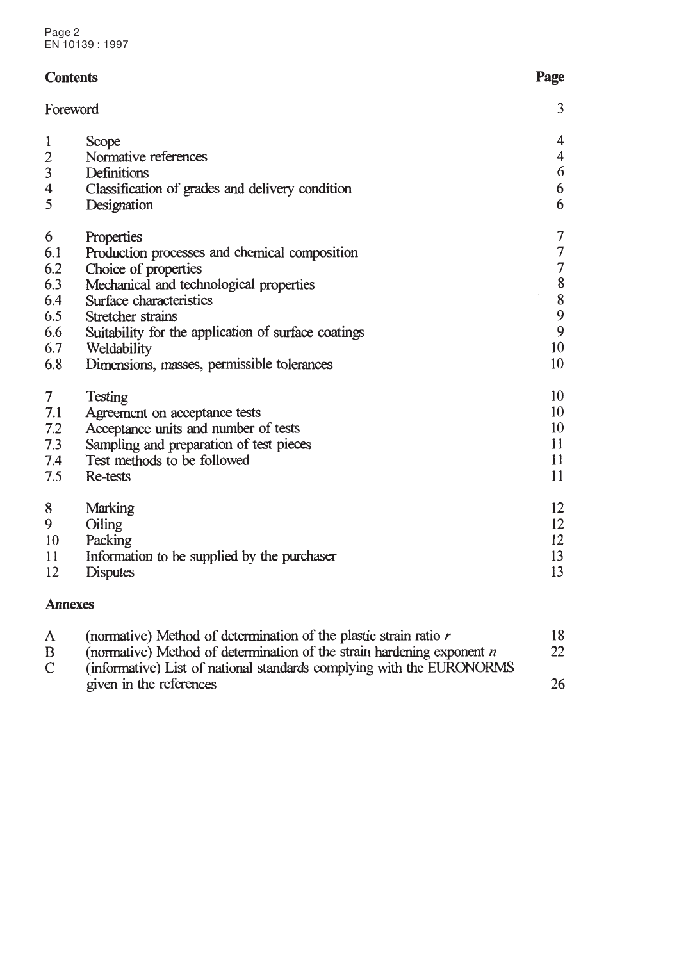#### **Contents**

|                | Foreword                                            | 3                |
|----------------|-----------------------------------------------------|------------------|
| 1              | Scope                                               | 4                |
| $\overline{c}$ | Normative references                                | $\overline{4}$   |
| 3              | Definitions                                         | 6                |
| 4              | Classification of grades and delivery condition     | 6                |
| 5              | Designation                                         | 6                |
| 6              | Properties                                          | 7                |
| 6.1            | Production processes and chemical composition       | $\boldsymbol{7}$ |
| 6.2            | Choice of properties                                | $\overline{7}$   |
| 6.3            | Mechanical and technological properties             | 8                |
| 6.4            | Surface characteristics                             | 8                |
| 6.5            | Stretcher strains                                   | 9                |
| 6.6            | Suitability for the application of surface coatings | $\overline{9}$   |
| 6.7            | Weldability                                         | 10               |
| 6.8            | Dimensions, masses, permissible tolerances          | 10               |
| 7              | Testing                                             | 10               |
| 7.1            | Agreement on acceptance tests                       | 10               |
| 7.2            | Acceptance units and number of tests                | 10               |
| 7.3            | Sampling and preparation of test pieces             | 11               |
| 7.4            | Test methods to be followed                         | 11               |
| 7.5            | <b>Re-tests</b>                                     | 11               |
| 8              | Marking                                             | 12               |
| 9              | Oiling                                              | 12               |
| 10             | Packing                                             | 12               |
| 11             | Information to be supplied by the purchaser         | 13               |
| 12             | <b>Disputes</b>                                     | 13               |

Page

#### **Annexes**

| A. | (normative) Method of determination of the plastic strain ratio r        | 18 |
|----|--------------------------------------------------------------------------|----|
| B  | (normative) Method of determination of the strain hardening exponent $n$ | 22 |
| C. | (informative) List of national standards complying with the EURONORMS    |    |
|    | given in the references                                                  | 26 |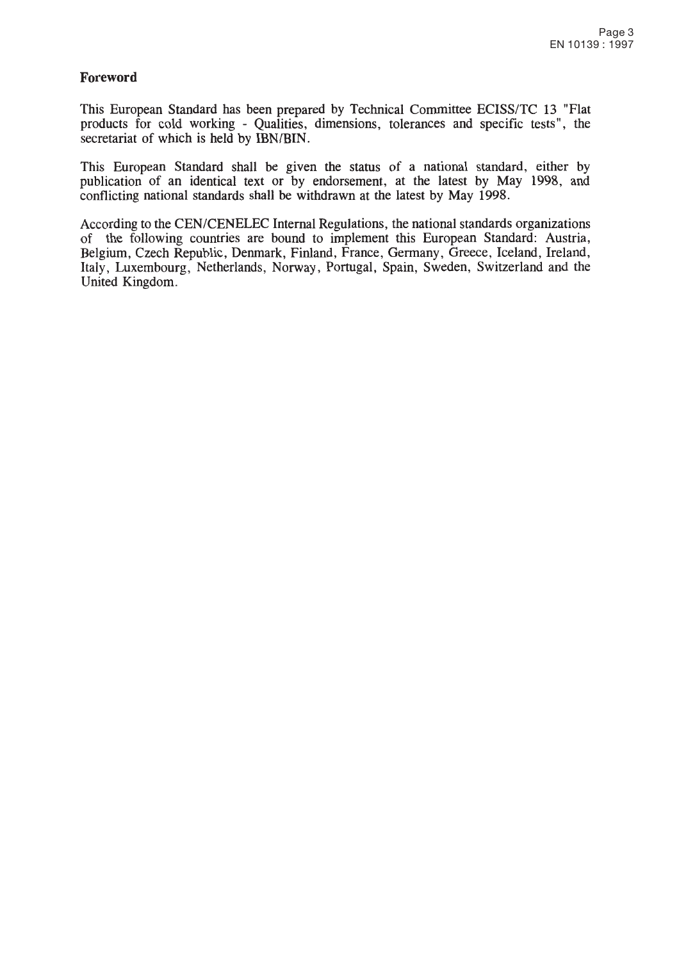#### **Foreword**

This European Standard has been prepared by Technical Committee ECISS/TC 13 "Flat products for cold working - Qualities, dimensions, tolerances and specific tests", the secretariat of which is held by IBN/BIN.

This European Standard shall be given the status of a national standard, either by publication of an identical text or by endorsement, at the latest by May 1998, and conflicting national standards shall be withdrawn at the latest by May 1998.

According to the CEN/CENELEC Internal Regulations, the national standards organizations of the following countries are bound to implement this European Standard: Austria, Belgium, Czech Republic, Denmark, Finland, France, Germany, Greece, Iceland, Ireland, Italy, Luxembourg, Netherlands, Norway, Portugal, Spain, Sweden, Switzerland and the United Kingdom.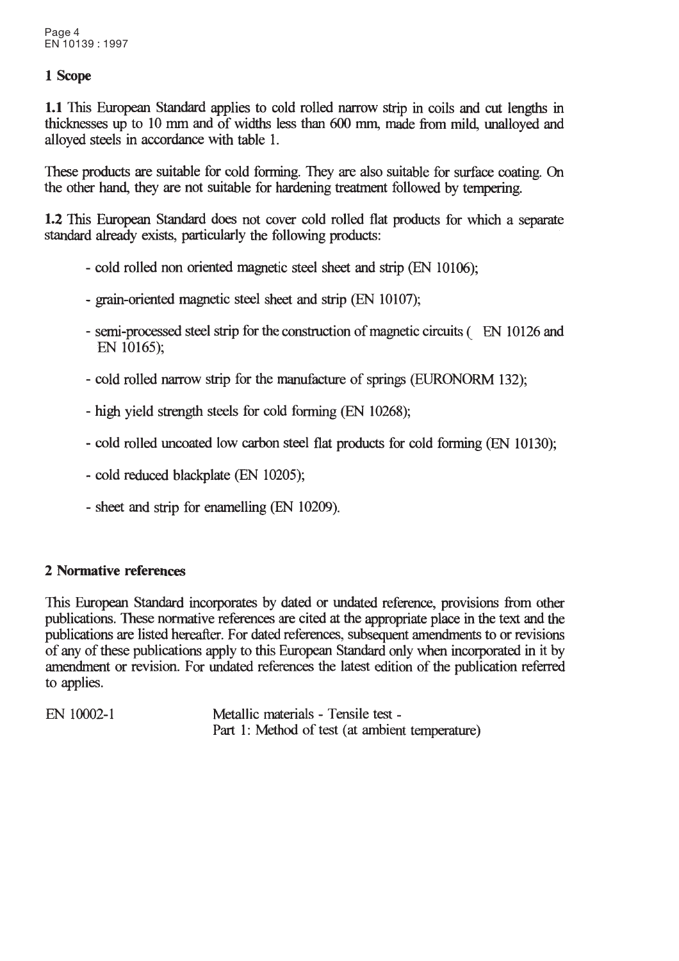## 1 Scope

1.1 This European Standard applies to cold rolled narrow strip in coils and cut lengths in thicknesses up to 10 mm and of widths less than 600 mm, made from mild, unalloved and alloyed steels in accordance with table 1.

These products are suitable for cold forming. They are also suitable for surface coating. On the other hand, they are not suitable for hardening treatment followed by tempering.

1.2 This European Standard does not cover cold rolled flat products for which a separate standard already exists, particularly the following products:

- cold rolled non oriented magnetic steel sheet and strip (EN 10106);
- grain-oriented magnetic steel sheet and strip (EN 10107);
- semi-processed steel strip for the construction of magnetic circuits (EN 10126 and EN 10165):
- cold rolled narrow strip for the manufacture of springs (EURONORM 132);
- high yield strength steels for cold forming (EN 10268);
- cold rolled uncoated low carbon steel flat products for cold forming (EN 10130);
- cold reduced blackplate (EN 10205);
- sheet and strip for enamelling (EN 10209).

### 2 Normative references

This European Standard incorporates by dated or undated reference, provisions from other publications. These normative references are cited at the appropriate place in the text and the publications are listed hereafter. For dated references, subsequent amendments to or revisions of any of these publications apply to this European Standard only when incorporated in it by amendment or revision. For undated references the latest edition of the publication referred to applies.

Metallic materials - Tensile test -EN 10002-1 Part 1: Method of test (at ambient temperature)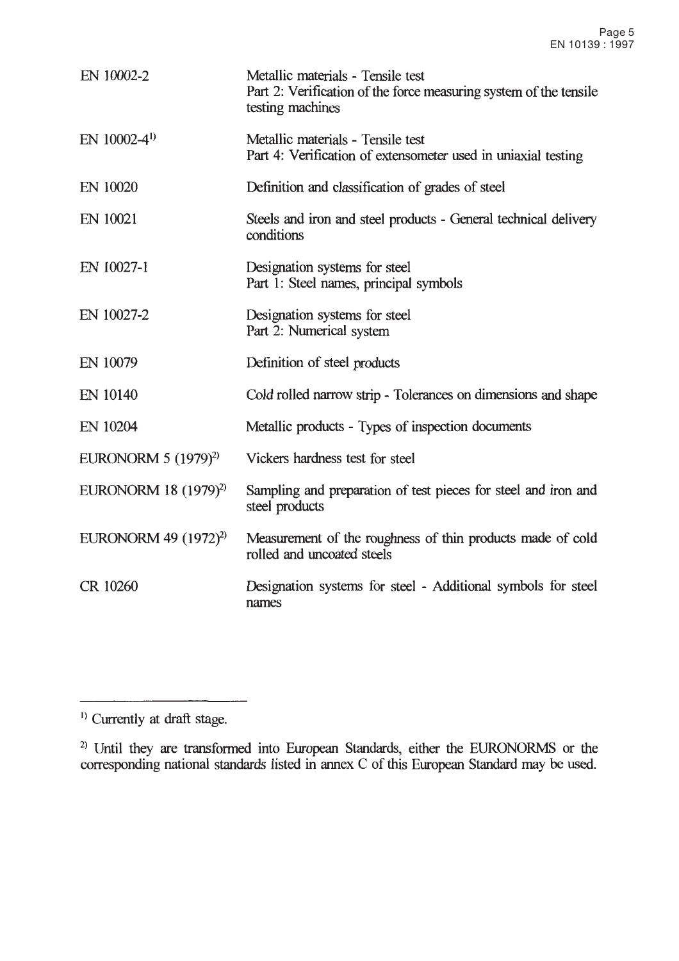| EN 10002-2                       | Metallic materials - Tensile test<br>Part 2: Verification of the force measuring system of the tensile<br>testing machines |
|----------------------------------|----------------------------------------------------------------------------------------------------------------------------|
| EN $10002-4$ <sup>1)</sup>       | Metallic materials - Tensile test<br>Part 4: Verification of extensometer used in uniaxial testing                         |
| EN 10020                         | Definition and classification of grades of steel                                                                           |
| EN 10021                         | Steels and iron and steel products - General technical delivery<br>conditions                                              |
| EN 10027-1                       | Designation systems for steel<br>Part 1: Steel names, principal symbols                                                    |
| EN 10027-2                       | Designation systems for steel<br>Part 2: Numerical system                                                                  |
| EN 10079                         | Definition of steel products                                                                                               |
| EN 10140                         | Cold rolled narrow strip - Tolerances on dimensions and shape                                                              |
| EN 10204                         | Metallic products - Types of inspection documents                                                                          |
| EURONORM $5(1979)^{2}$           | Vickers hardness test for steel                                                                                            |
| EURONORM 18 (1979) <sup>2)</sup> | Sampling and preparation of test pieces for steel and iron and<br>steel products                                           |
| EURONORM 49 $(1972)^{2}$         | Measurement of the roughness of thin products made of cold<br>rolled and uncoated steels                                   |
| CR 10260                         | Designation systems for steel - Additional symbols for steel<br>names                                                      |

 $\overline{\phantom{0}}$ 

<sup>&</sup>lt;sup>1)</sup> Currently at draft stage.

<sup>&</sup>lt;sup>2)</sup> Until they are transformed into European Standards, either the EURONORMS or the corresponding national standards listed in annex C of this European Standard may be used.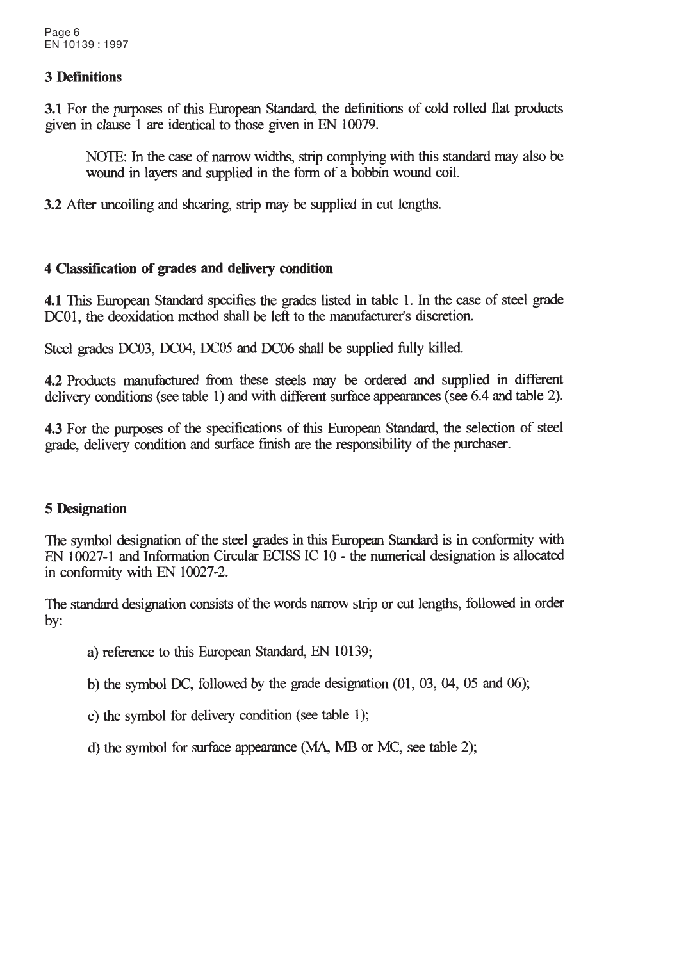#### **3 Definitions**

3.1 For the purposes of this European Standard, the definitions of cold rolled flat products given in clause 1 are identical to those given in EN 10079.

NOTE: In the case of narrow widths, strip complying with this standard may also be wound in layers and supplied in the form of a bobbin wound coil.

3.2 After uncoiling and shearing, strip may be supplied in cut lengths.

### 4 Classification of grades and delivery condition

4.1 This European Standard specifies the grades listed in table 1. In the case of steel grade DC01, the deoxidation method shall be left to the manufacturer's discretion.

Steel grades DC03, DC04, DC05 and DC06 shall be supplied fully killed.

4.2 Products manufactured from these steels may be ordered and supplied in different delivery conditions (see table 1) and with different surface appearances (see 6.4 and table 2).

4.3 For the purposes of the specifications of this European Standard, the selection of steel grade, delivery condition and surface finish are the responsibility of the purchaser.

### **5 Designation**

The symbol designation of the steel grades in this European Standard is in conformity with EN 10027-1 and Information Circular ECISS IC 10 - the numerical designation is allocated in conformity with EN 10027-2.

The standard designation consists of the words narrow strip or cut lengths, followed in order  $by:$ 

a) reference to this European Standard, EN 10139;

b) the symbol DC, followed by the grade designation  $(01, 03, 04, 05, 04)$ 

c) the symbol for delivery condition (see table 1);

d) the symbol for surface appearance (MA, MB or MC, see table 2);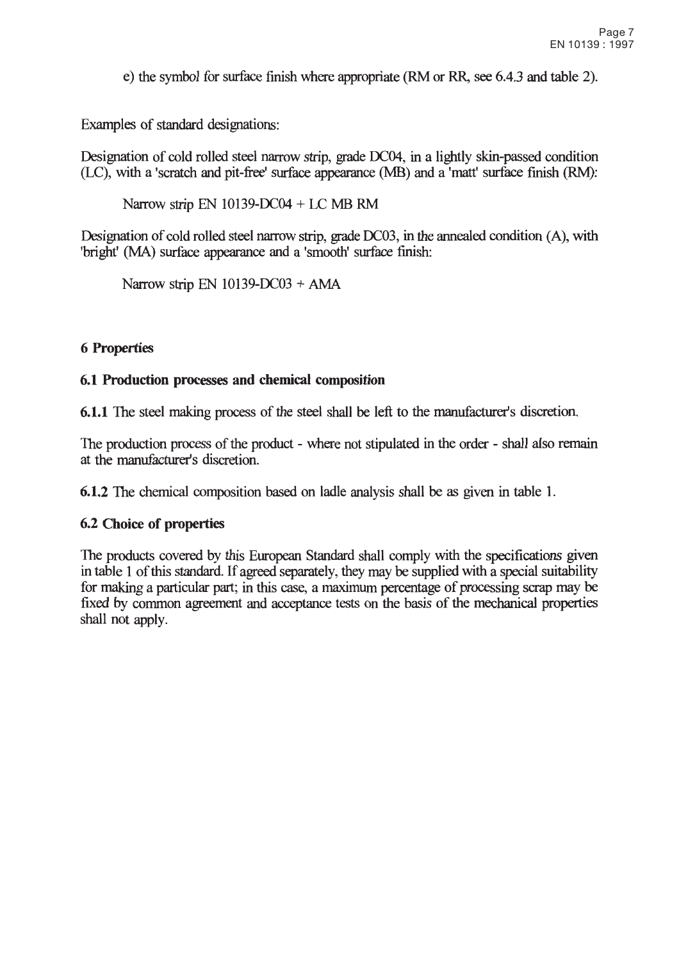e) the symbol for surface finish where appropriate (RM or RR, see 6.4.3 and table 2).

Examples of standard designations:

Designation of cold rolled steel narrow strip, grade DC04, in a lightly skin-passed condition (LC), with a 'scratch and pit-free' surface appearance (MB) and a 'matt' surface finish (RM):

Narrow strip EN 10139-DC04 + LC MB RM

Designation of cold rolled steel narrow strip, grade DC03, in the annealed condition (A), with 'bright' (MA) surface appearance and a 'smooth' surface finish:

Narrow strip EN  $10139-DCO3 + AMA$ 

#### **6 Properties**

#### 6.1 Production processes and chemical composition

6.1.1 The steel making process of the steel shall be left to the manufacturer's discretion.

The production process of the product - where not stipulated in the order - shall also remain at the manufacturer's discretion.

6.1.2 The chemical composition based on ladle analysis shall be as given in table 1.

#### 6.2 Choice of properties

The products covered by this European Standard shall comply with the specifications given in table 1 of this standard. If agreed separately, they may be supplied with a special suitability for making a particular part; in this case, a maximum percentage of processing scrap may be fixed by common agreement and acceptance tests on the basis of the mechanical properties shall not apply.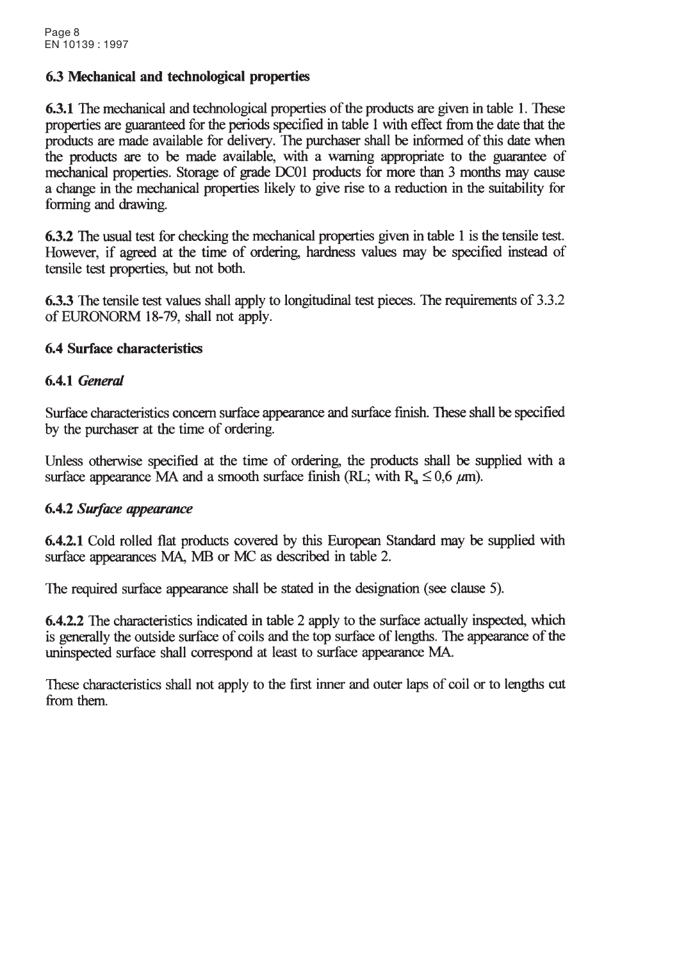#### 6.3 Mechanical and technological properties

**6.3.1** The mechanical and technological properties of the products are given in table 1. These properties are guaranteed for the periods specified in table 1 with effect from the date that the products are made available for delivery. The purchaser shall be informed of this date when the products are to be made available, with a warning appropriate to the guarantee of mechanical properties. Storage of grade DC01 products for more than 3 months may cause a change in the mechanical properties likely to give rise to a reduction in the suitability for forming and drawing.

6.3.2 The usual test for checking the mechanical properties given in table 1 is the tensile test. However, if agreed at the time of ordering, hardness values may be specified instead of tensile test properties, but not both.

**6.3.3** The tensile test values shall apply to longitudinal test pieces. The requirements of 3.3.2 of EURONORM 18-79, shall not apply.

#### **6.4 Surface characteristics**

#### 6.4.1 General

Surface characteristics concern surface appearance and surface finish. These shall be specified by the purchaser at the time of ordering.

Unless otherwise specified at the time of ordering, the products shall be supplied with a surface appearance MA and a smooth surface finish (RL; with R<sub>3</sub>  $\leq$  0,6  $\mu$ m).

#### 6.4.2 Surface appearance

6.4.2.1 Cold rolled flat products covered by this European Standard may be supplied with surface appearances MA. MB or MC as described in table 2.

The required surface appearance shall be stated in the designation (see clause 5).

**6.4.2.2** The characteristics indicated in table 2 apply to the surface actually inspected, which is generally the outside surface of coils and the top surface of lengths. The appearance of the uninspected surface shall correspond at least to surface appearance MA.

These characteristics shall not apply to the first inner and outer laps of coil or to lengths cut from them.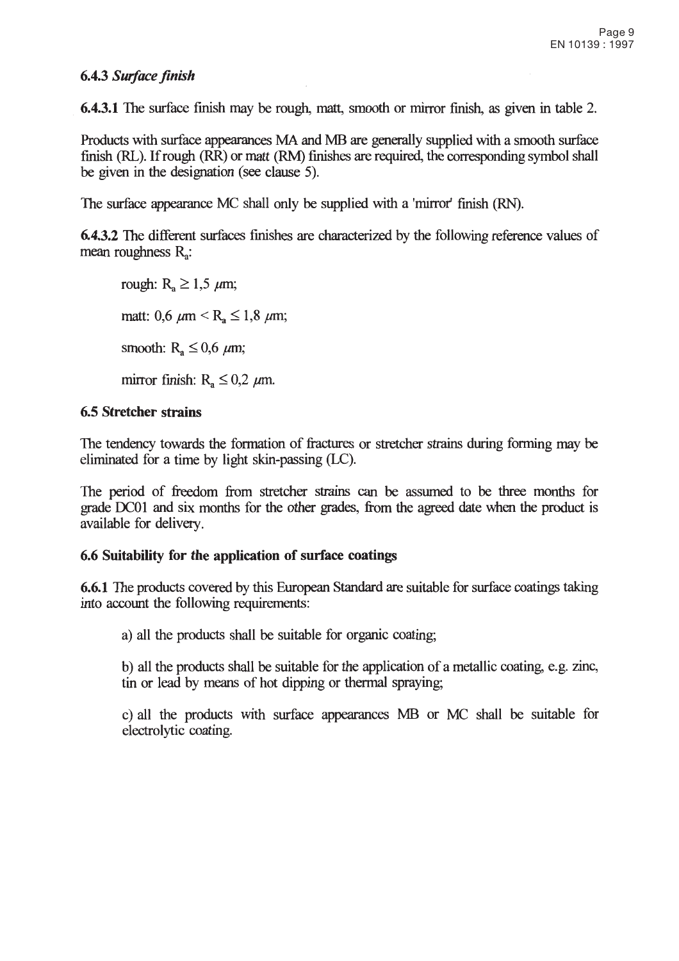#### 6.4.3 Surface finish

**6.4.3.1** The surface finish may be rough, matt, smooth or mirror finish, as given in table 2.

Products with surface appearances MA and MB are generally supplied with a smooth surface finish (RL). If rough (RR) or matt (RM) finishes are required, the corresponding symbol shall be given in the designation (see clause 5).

The surface appearance MC shall only be supplied with a 'mirror' finish (RN).

**6.4.3.2** The different surfaces finishes are characterized by the following reference values of mean roughness  $R_{\rm a}$ :

rough:  $R_a \ge 1.5 \mu m$ ; matt: 0,6  $\mu$ m < R<sub>a</sub>  $\leq$  1,8  $\mu$ m; smooth:  $R_a \leq 0.6$   $\mu$ m; mirror finish:  $R_a \le 0.2$   $\mu$ m.

#### **6.5 Stretcher strains**

The tendency towards the formation of fractures or stretcher strains during forming may be eliminated for a time by light skin-passing (LC).

The period of freedom from stretcher strains can be assumed to be three months for grade DC01 and six months for the other grades, from the agreed date when the product is available for delivery.

#### 6.6 Suitability for the application of surface coatings

**6.6.1** The products covered by this European Standard are suitable for surface coatings taking into account the following requirements:

a) all the products shall be suitable for organic coating.

b) all the products shall be suitable for the application of a metallic coating, e.g. zinc, tin or lead by means of hot dipping or thermal spraying;

c) all the products with surface appearances MB or MC shall be suitable for electrolytic coating.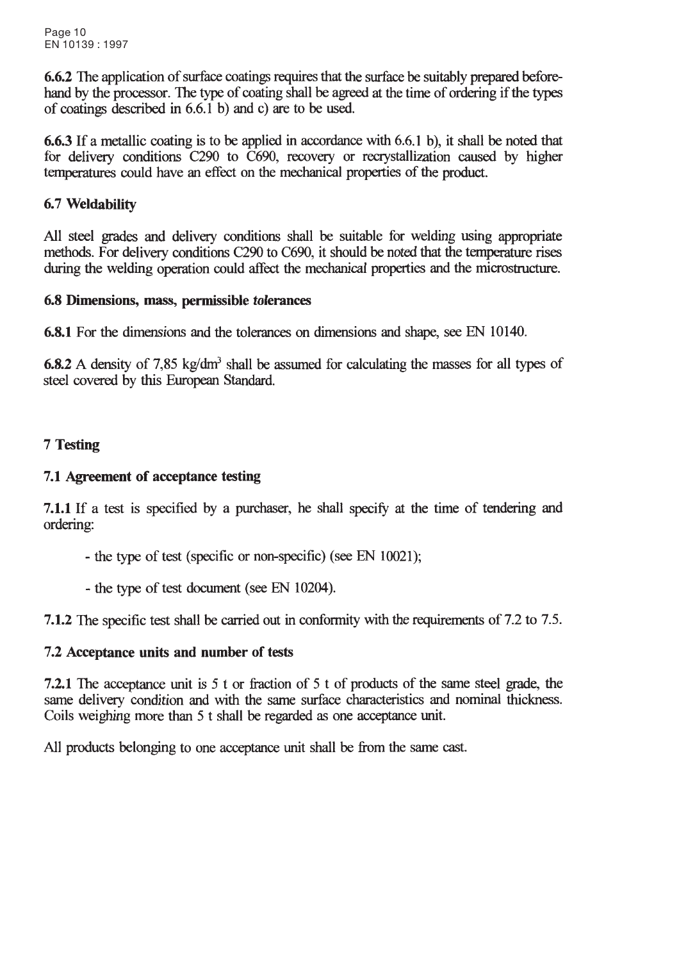6.6.2 The application of surface coatings requires that the surface be suitably prepared beforehand by the processor. The type of coating shall be agreed at the time of ordering if the types of coatings described in  $6.6.1$  b) and c) are to be used.

**6.6.3** If a metallic coating is to be applied in accordance with 6.6.1 b), it shall be noted that for delivery conditions C290 to C690, recovery or recrystallization caused by higher temperatures could have an effect on the mechanical properties of the product.

# 6.7 Weldability

All steel grades and delivery conditions shall be suitable for welding using appropriate methods. For delivery conditions C290 to C690, it should be noted that the temperature rises during the welding operation could affect the mechanical properties and the microstructure.

### 6.8 Dimensions, mass, permissible tolerances

6.8.1 For the dimensions and the tolerances on dimensions and shape, see EN 10140.

6.8.2 A density of 7.85 kg/dm<sup>3</sup> shall be assumed for calculating the masses for all types of steel covered by this European Standard.

# 7 Testing

# 7.1 Agreement of acceptance testing

7.1.1 If a test is specified by a purchaser, he shall specify at the time of tendering and ordering:

- the type of test (specific or non-specific) (see EN 10021);
- the type of test document (see EN 10204).

7.1.2 The specific test shall be carried out in conformity with the requirements of 7.2 to 7.5.

### 7.2 Acceptance units and number of tests

7.2.1 The acceptance unit is 5 t or fraction of 5 t of products of the same steel grade, the same delivery condition and with the same surface characteristics and nominal thickness. Coils weighing more than 5 t shall be regarded as one acceptance unit.

All products belonging to one acceptance unit shall be from the same cast.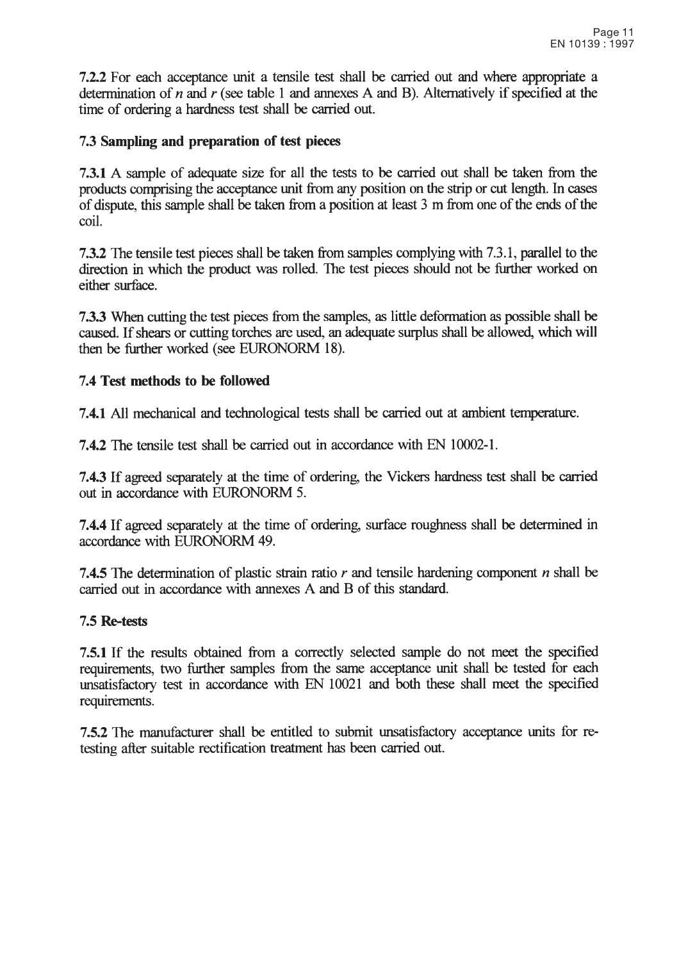7.2.2 For each acceptance unit a tensile test shall be carried out and where appropriate a determination of  $n$  and  $r$  (see table 1 and annexes A and B). Alternatively if specified at the time of ordering a hardness test shall be carried out.

#### 7.3 Sampling and preparation of test pieces

7.3.1 A sample of adequate size for all the tests to be carried out shall be taken from the products comprising the acceptance unit from any position on the strip or cut length. In cases of dispute, this sample shall be taken from a position at least 3 m from one of the ends of the coil

7.3.2 The tensile test pieces shall be taken from samples complying with 7.3.1, parallel to the direction in which the product was rolled. The test pieces should not be further worked on either surface.

7.3.3 When cutting the test pieces from the samples, as little deformation as possible shall be caused. If shears or cutting torches are used, an adequate surplus shall be allowed, which will then be further worked (see EURONORM 18).

#### 7.4 Test methods to be followed

7.4.1 All mechanical and technological tests shall be carried out at ambient temperature.

7.4.2 The tensile test shall be carried out in accordance with EN 10002-1.

7.4.3 If agreed separately at the time of ordering, the Vickers hardness test shall be carried out in accordance with EURONORM 5.

7.4.4 If agreed separately at the time of ordering, surface roughness shall be determined in accordance with EURONORM 49.

7.4.5 The determination of plastic strain ratio  $r$  and tensile hardening component  $n$  shall be carried out in accordance with annexes A and B of this standard.

#### 7.5 Re-tests

7.5.1 If the results obtained from a correctly selected sample do not meet the specified requirements, two further samples from the same acceptance unit shall be tested for each unsatisfactory test in accordance with EN 10021 and both these shall meet the specified requirements.

7.5.2 The manufacturer shall be entitled to submit unsatisfactory acceptance units for retesting after suitable rectification treatment has been carried out.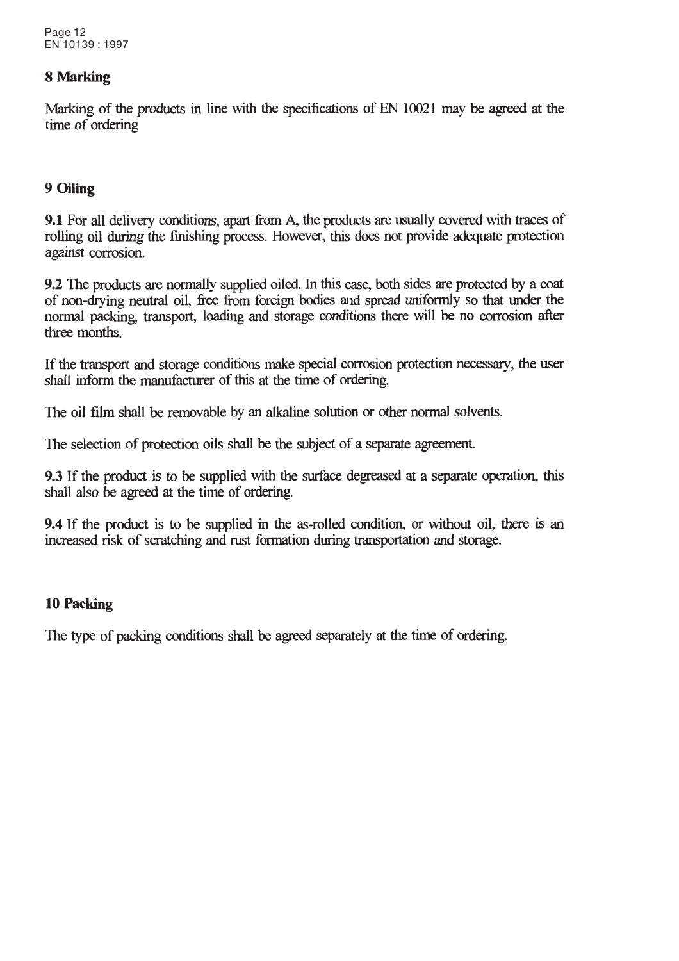#### 8 Marking

Marking of the products in line with the specifications of EN 10021 may be agreed at the time of ordering

#### 9 Oiling

9.1 For all delivery conditions, apart from A, the products are usually covered with traces of rolling oil during the finishing process. However, this does not provide adequate protection against corrosion.

9.2 The products are normally supplied oiled. In this case, both sides are protected by a coat of non-drying neutral oil, free from foreign bodies and spread uniformly so that under the normal packing, transport, loading and storage conditions there will be no corrosion after three months.

If the transport and storage conditions make special corrosion protection necessary, the user shall inform the manufacturer of this at the time of ordering.

The oil film shall be removable by an alkaline solution or other normal solvents.

The selection of protection oils shall be the subject of a separate agreement.

9.3 If the product is to be supplied with the surface degreased at a separate operation, this shall also be agreed at the time of ordering.

**9.4** If the product is to be supplied in the as-rolled condition, or without oil, there is an increased risk of scratching and rust formation during transportation and storage.

#### 10 Packing

The type of packing conditions shall be agreed separately at the time of ordering.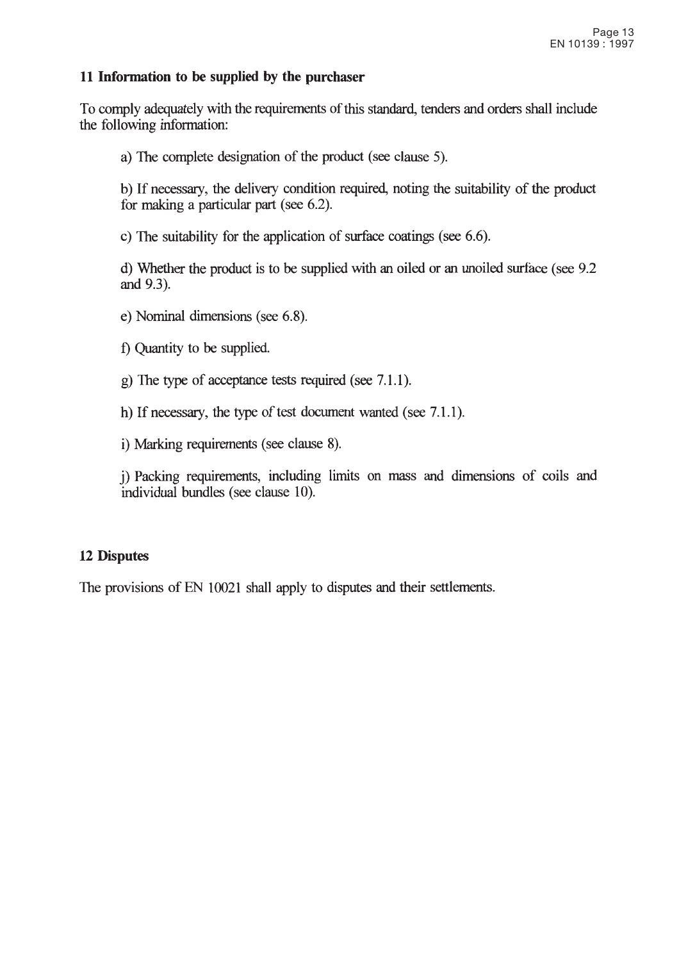#### 11 Information to be supplied by the purchaser

To comply adequately with the requirements of this standard, tenders and orders shall include the following information:

a) The complete designation of the product (see clause 5).

b) If necessary, the delivery condition required, noting the suitability of the product for making a particular part (see 6.2).

c) The suitability for the application of surface coatings (see  $6.6$ ).

d) Whether the product is to be supplied with an oiled or an unoiled surface (see 9.2) and 9.3).

- e) Nominal dimensions (see 6.8).
- f) Quantity to be supplied.
- g) The type of acceptance tests required (see 7.1.1).

h) If necessary, the type of test document wanted (see 7.1.1).

i) Marking requirements (see clause 8).

i) Packing requirements, including limits on mass and dimensions of coils and individual bundles (see clause 10).

#### **12 Disputes**

The provisions of EN 10021 shall apply to disputes and their settlements.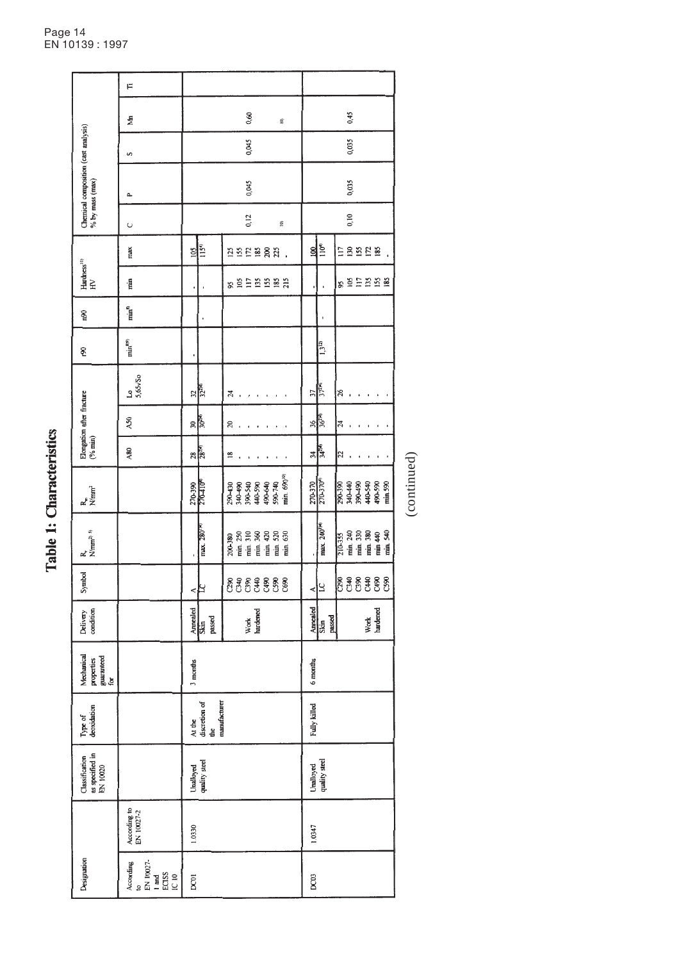| ì |
|---|
| f |
| ĺ |
|   |
|   |

| Designation                                                                                                   |                              | as specified in<br>Classification<br>EN 10020 | Type of<br>deoxidation                       | Mechanical<br>properties<br>guaranteed<br>for | Delivery<br>condition      | Symbol     | $R_{\text{Mmm}}^{2}$ <sup>5)</sup>                                 | $R_{\text{m}}$<br>N/mm <sup>2</sup>                                                       |                                 | Elongation after fracture $(%$ min)                                        |                            | Ş,                    | 60n                | $Hardness11$<br>HV |                           |                         | Chemical composition (cast analysis)<br>% by mass (max) |       |                         |   |
|---------------------------------------------------------------------------------------------------------------|------------------------------|-----------------------------------------------|----------------------------------------------|-----------------------------------------------|----------------------------|------------|--------------------------------------------------------------------|-------------------------------------------------------------------------------------------|---------------------------------|----------------------------------------------------------------------------|----------------------------|-----------------------|--------------------|--------------------|---------------------------|-------------------------|---------------------------------------------------------|-------|-------------------------|---|
| to<br>EN 10027-<br>According<br>$\begin{array}{r}\n\text{1 and} \\ \text{ECISS} \\ \text{IC 10}\n\end{array}$ | According to<br>EN $10027-2$ |                                               |                                              |                                               |                            |            |                                                                    |                                                                                           | A80                             | $\lambda$ 50                                                               | $\frac{10}{5,65\sqrt{50}}$ | $min^{899}$           | $min^{\mathbf{s}}$ | min                | max                       | $\cup$                  | Δ.                                                      | S     | ₹                       | F |
| pcot                                                                                                          | 1.0330                       | Unalloyed<br>quality steel                    | manufacturer<br>At the<br>discretion of<br>ģ | 3 months                                      | Annealed<br>Skin<br>passed | ⊲∤≍        | max. 280 <sup>(x)</sup>                                            | 270-390                                                                                   | $\frac{28}{28}$                 | ू<br>इलि                                                                   | $\frac{32}{32}$            |                       |                    |                    | $rac{1}{2}$               |                         |                                                         |       |                         |   |
|                                                                                                               |                              |                                               |                                              |                                               | Work<br>hardened           | $88888888$ | 200-380                                                            | min. 690 <sup>10)</sup><br>490-640<br>590-740<br>390-540<br>440-590<br>340-490<br>290-430 | ≌                               | $\overline{20}$<br>$\mathbf{r}$<br>$\blacksquare$<br>$\blacksquare$        | 24                         |                       |                    | s Shanan           | 252282.                   | 0,12<br>$\widehat{\Xi}$ | 0,045                                                   | 0,045 | 0,60<br>$\widehat{\Xi}$ |   |
| DC03                                                                                                          | 1.0347                       | Unalloyed<br>quality steel                    | Fully killed                                 | 6 months                                      | Annealed<br>Skin<br>passed | צ∣<br>∢    | max. 240 <sup>1141</sup>                                           | 270-3704<br>270-370                                                                       | 3428<br>34                      | ू<br>अर्                                                                   | 37240<br>37                | $\overline{1,3}^{12}$ |                    |                    | $\overline{110^6}$<br>100 |                         |                                                         |       |                         |   |
|                                                                                                               |                              |                                               |                                              |                                               | Work<br>hardened           |            | nin 240<br>Thin 330<br>Thin 380<br>Thin 540<br>Thin 540<br>210-355 | 340-440<br>044-045<br>440-540<br>490-590<br>min.590<br>290-390                            | $\overline{z}$<br>$\pmb{\cdot}$ | $\overline{a}$<br>$\bar{1}$<br>$\mathbf{r}$<br>$\mathfrak{c}$<br>$\bullet$ | 26                         |                       |                    | 8895888            | ERERE                     | 0,10                    | 0,035                                                   | 0,035 | 0,45                    |   |
|                                                                                                               |                              |                                               |                                              |                                               |                            |            |                                                                    | (continued)                                                                               |                                 |                                                                            |                            |                       |                    |                    |                           |                         |                                                         |       |                         |   |

Page 14 EN 10139 : 1997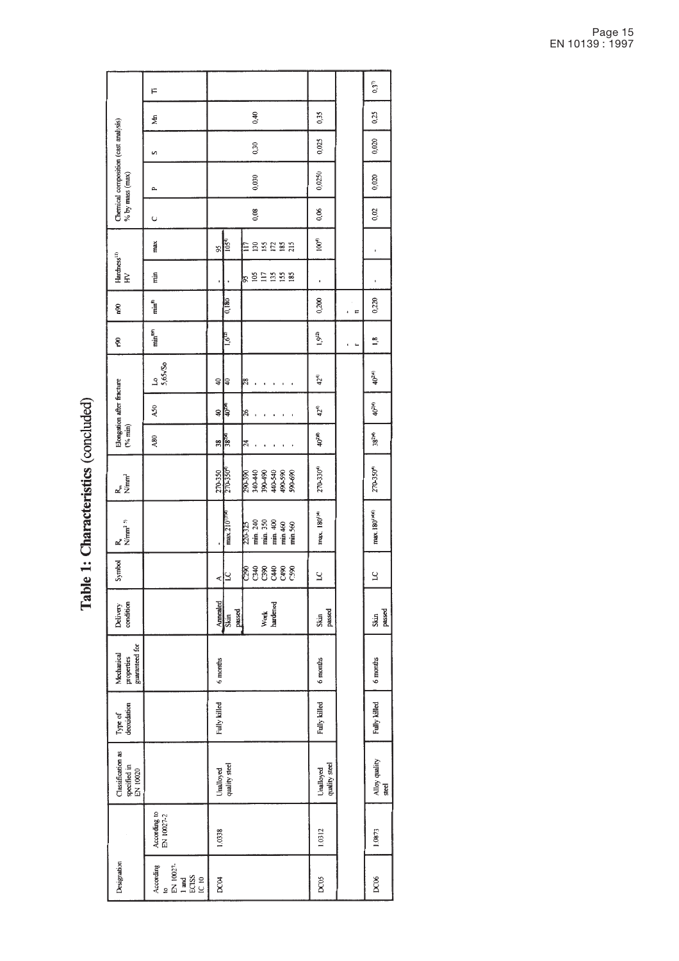Table 1: Characteristics (concluded)

|                                                             | F                                                       |                              |                                                                    |                            |                | $0,3^{7}$                           |
|-------------------------------------------------------------|---------------------------------------------------------|------------------------------|--------------------------------------------------------------------|----------------------------|----------------|-------------------------------------|
|                                                             | ₹                                                       |                              | 0,40                                                               | 0,35                       |                | 0,25                                |
|                                                             | S                                                       |                              | 0,30                                                               | 0,025                      |                | 0,020                               |
| Chernical composition (cast analysis)<br>$\%$ by mass (max) | Δ.                                                      |                              | 0,030                                                              | 0,0250                     |                | 0,020                               |
|                                                             | U                                                       |                              | 0,08                                                               | 0,06                       |                | 0,02                                |
|                                                             | max                                                     | 105 <sup>4</sup><br>95       | 135282<br>El                                                       | $100^{4}$                  |                |                                     |
| Hardness $^{(1)}$ HV                                        | rin                                                     | ı                            | 92288<br>95                                                        | ï                          |                |                                     |
| n <sup>90</sup>                                             | $min^{\delta}$                                          | 0,180                        |                                                                    | 0,200                      | E              | 0,220                               |
| କୃ                                                          | $min^{899}$                                             | $1,6^{(12)}$                 |                                                                    | $1,9^{12}$                 | $\blacksquare$ | $\frac{8}{10}$                      |
|                                                             | $10$<br>5,65×/50                                        | $\downarrow$<br>∣੩           | ∣≋                                                                 | $42^{4}$                   |                | 40 <sup>214)</sup>                  |
| Elongation after fracture $(96 \text{ min})$                | A50                                                     | <b>HOTA</b><br>¥             | $\frac{8}{3}$                                                      | $42^{4}$                   |                | 40 <sup>214)</sup>                  |
|                                                             | A80                                                     | $\frac{38}{38}$              | $\overline{24}$                                                    | 40 <sup>218)</sup>         |                | 38 <sup>2)(1)</sup>                 |
| $R_{m}$<br>Nimm <sup>2</sup>                                |                                                         | 270-350<br>270-350           | 340-440<br>390-490<br>490-590<br>490-590<br>490-690<br>290-390     | 270-3304                   |                | 270-3504                            |
| $N/mm2$ <sup>5)</sup>                                       |                                                         | max.210 <sup>1994</sup><br>, | min. 240<br>min. 350<br>min. 400<br>min. 460<br>220-325<br>min.560 | max. 180 <sup>()4)</sup>   |                | max.180 <sup>1</sup> <sup>N/6</sup> |
| Symbol                                                      |                                                         | k                            | 88888<br>CDC3<br>C590                                              | 2                          |                | $\overline{S}$                      |
| condition<br>Delivery                                       |                                                         | Annealed<br>Skin             | Work<br>hardened<br>passed                                         | passed<br>Skin             |                | passed<br>Skin                      |
| guaranteed for<br>Mechanical<br>properties                  |                                                         | 6 months                     |                                                                    | 6 months                   |                | 6 months                            |
| Type of<br>deoxidation                                      |                                                         | Fully killed                 |                                                                    | Fully killed               |                | Fully killed                        |
| Classification as<br>specified in<br>EN 10020               |                                                         | Unalloyed<br>quality steel   |                                                                    | quality steel<br>Unalloyed |                | Alloy quality<br>steel              |
|                                                             | According to<br>EN $10027-2$                            | 1.0338                       |                                                                    | 1.0312                     |                | 1.0873                              |
| Designation                                                 | to<br>EN 10027-<br>1 and<br>ECISS<br>IC 10<br>According | <b>DCO4</b>                  |                                                                    | DC05                       |                | <b>DC06</b>                         |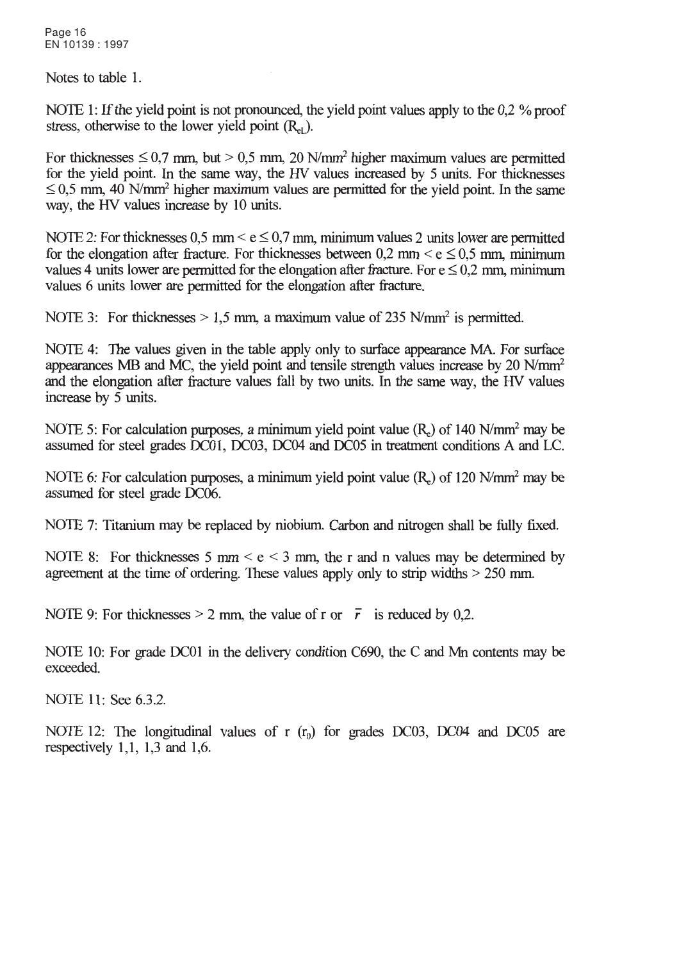Page 16 EN 10139: 1997

Notes to table 1.

NOTE 1: If the vield point is not pronounced, the vield point values apply to the 0.2 % proof stress, otherwise to the lower yield point  $(R<sub>el</sub>)$ .

For thicknesses  $\leq 0.7$  mm, but  $> 0.5$  mm, 20 N/mm<sup>2</sup> higher maximum values are permitted for the yield point. In the same way, the HV values increased by 5 units. For thicknesses  $\leq$  0.5 mm, 40 N/mm<sup>2</sup> higher maximum values are permitted for the yield point. In the same way, the HV values increase by 10 units.

NOTE 2: For thicknesses 0.5 mm <  $e \le 0.7$  mm, minimum values 2 units lower are permitted for the elongation after fracture. For thicknesses between 0.2 mm  $\leq$  e  $\leq$  0.5 mm, minimum values 4 units lower are permitted for the elongation after fracture. For  $e \le 0.2$  mm, minimum values 6 units lower are permitted for the elongation after fracture.

NOTE 3: For thicknesses  $> 1.5$  mm, a maximum value of 235 N/mm<sup>2</sup> is permitted.

NOTE 4: The values given in the table apply only to surface appearance MA. For surface appearances MB and MC, the yield point and tensile strength values increase by 20 N/mm<sup>2</sup> and the elongation after fracture values fall by two units. In the same way, the HV values increase by  $5$  units.

NOTE 5: For calculation purposes, a minimum yield point value (R) of 140 N/mm<sup>2</sup> may be assumed for steel grades DC01, DC03, DC04 and DC05 in treatment conditions A and LC.

NOTE 6: For calculation purposes, a minimum yield point value  $(R<sub>c</sub>)$  of 120 N/mm<sup>2</sup> may be assumed for steel grade DC06.

NOTE 7: Titanium may be replaced by niobium. Carbon and nitrogen shall be fully fixed.

NOTE 8: For thicknesses 5 mm  $\le e \le 3$  mm, the r and n values may be determined by agreement at the time of ordering. These values apply only to strip widths  $> 250$  mm.

NOTE 9: For thicknesses > 2 mm, the value of r or  $\bar{r}$  is reduced by 0,2.

NOTE 10: For grade DC01 in the delivery condition C690, the C and Mn contents may be exceeded.

NOTE 11: See 6.3.2.

NOTE 12: The longitudinal values of  $r(r_0)$  for grades DC03, DC04 and DC05 are respectively  $1,1, 1,3$  and  $1,6$ .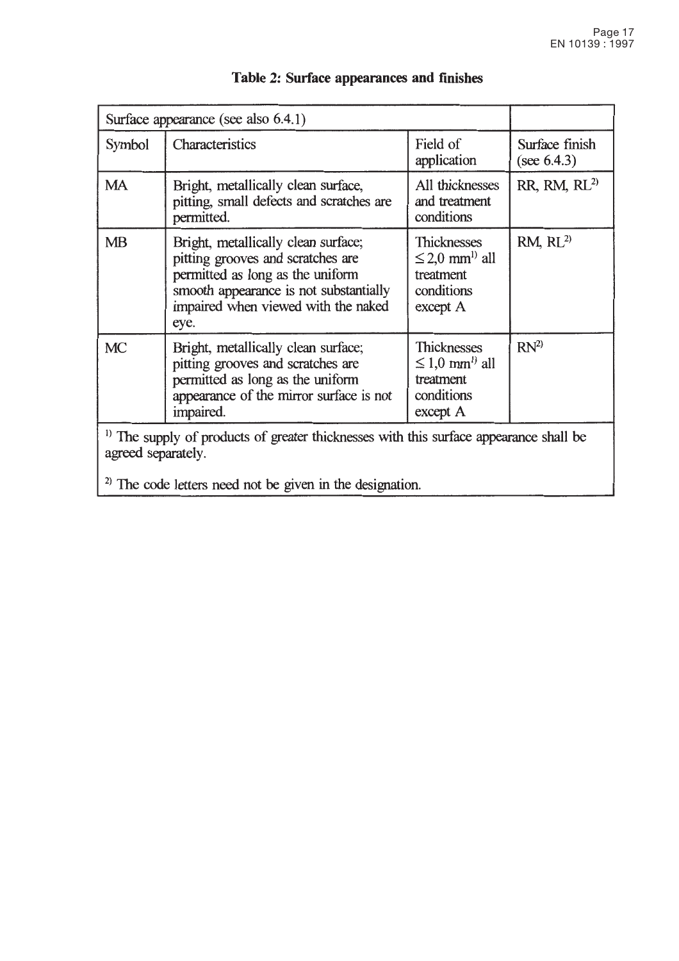|                    | Surface appearance (see also 6.4.1)                                                                                                                                                                   |                                                                                               |                                  |
|--------------------|-------------------------------------------------------------------------------------------------------------------------------------------------------------------------------------------------------|-----------------------------------------------------------------------------------------------|----------------------------------|
| Symbol             | Characteristics                                                                                                                                                                                       | Field of<br>application                                                                       | Surface finish<br>(see $6.4.3$ ) |
| MA                 | Bright, metallically clean surface,<br>pitting, small defects and scratches are<br>permitted.                                                                                                         | All thicknesses<br>and treatment<br>conditions                                                | $RR$ , RM, $RL2$                 |
| <b>MB</b>          | Bright, metallically clean surface;<br>pitting grooves and scratches are<br>permitted as long as the uniform<br>smooth appearance is not substantially<br>impaired when viewed with the naked<br>eye. | <b>Thicknesses</b><br>$\leq$ 2,0 mm <sup>l)</sup> all<br>treatment<br>conditions<br>except A  | RM, RL <sup>2)</sup>             |
| <b>MC</b>          | Bright, metallically clean surface;<br>pitting grooves and scratches are<br>permitted as long as the uniform<br>appearance of the mirror surface is not<br>impaired.                                  | <b>Thicknesses</b><br>$\leq 1.0$ mm <sup>1</sup> ) all<br>treatment<br>conditions<br>except A | $RN^{2}$                         |
| agreed separately. | <sup>1)</sup> The supply of products of greater thicknesses with this surface appearance shall be                                                                                                     |                                                                                               |                                  |
|                    | $^{2)}$ The code letters need not be given in the designation.                                                                                                                                        |                                                                                               |                                  |

# Table 2: Surface appearances and finishes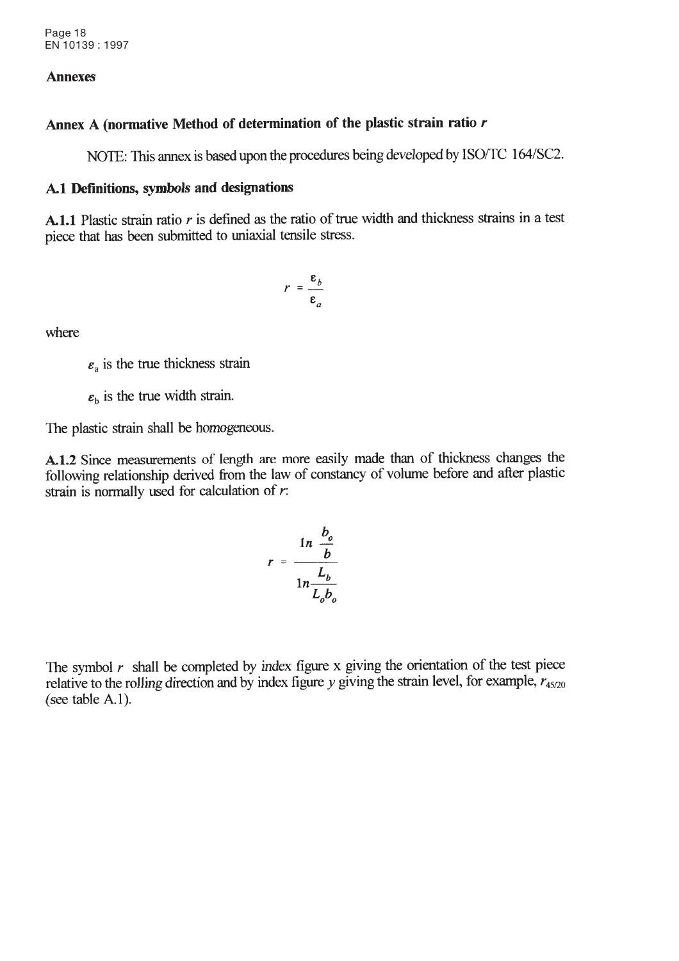#### **Annexes**

#### Annex A (normative Method of determination of the plastic strain ratio r

NOTE: This annex is based upon the procedures being developed by ISO/TC 164/SC2.

#### A.1 Definitions, symbols and designations

A.1.1 Plastic strain ratio  $r$  is defined as the ratio of true width and thickness strains in a test piece that has been submitted to uniaxial tensile stress.

$$
r = \frac{\varepsilon_b}{\varepsilon_a}
$$

where

 $\varepsilon_a$  is the true thickness strain

 $\varepsilon_h$  is the true width strain.

The plastic strain shall be homogeneous.

A.1.2 Since measurements of length are more easily made than of thickness changes the following relationship derived from the law of constancy of volume before and after plastic strain is normally used for calculation of  $r$ .

$$
r = \frac{\ln \frac{b_o}{b}}{\ln \frac{L_b}{L_o b_o}}
$$

The symbol  $r$  shall be completed by index figure x giving the orientation of the test piece relative to the rolling direction and by index figure y giving the strain level, for example,  $r_{45/20}$ (see table  $A.1$ ).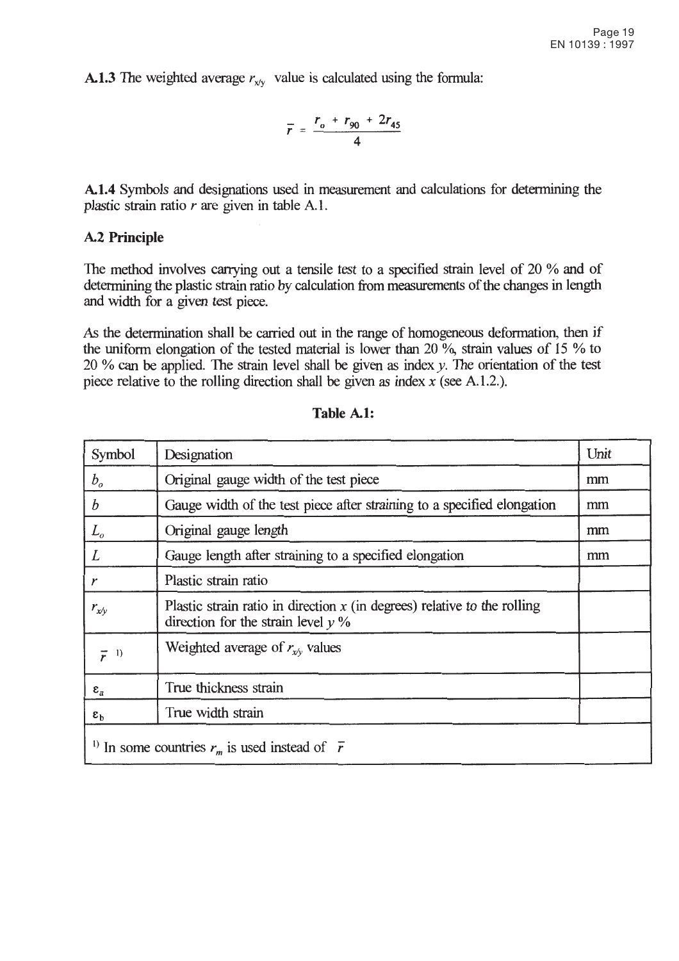**A.1.3** The weighted average  $r_{x/v}$  value is calculated using the formula:

$$
\bar{r} = \frac{r_o + r_{90} + 2r_{45}}{4}
$$

A.1.4 Symbols and designations used in measurement and calculations for determining the plastic strain ratio  $r$  are given in table A.1.

#### **A.2 Principle**

The method involves carrying out a tensile test to a specified strain level of 20 % and of determining the plastic strain ratio by calculation from measurements of the changes in length and width for a given test piece.

As the determination shall be carried out in the range of homogeneous deformation, then if the uniform elongation of the tested material is lower than 20  $\%$ , strain values of 15  $\%$  to 20 % can be applied. The strain level shall be given as index  $y$ . The orientation of the test piece relative to the rolling direction shall be given as index  $x$  (see A.1.2.).

| Symbol             | Designation                                                                                                        | Unit |
|--------------------|--------------------------------------------------------------------------------------------------------------------|------|
| $b_o$              | Original gauge width of the test piece                                                                             | mm   |
| $\boldsymbol{b}$   | Gauge width of the test piece after straining to a specified elongation                                            | mm   |
| $L_{\rm o}$        | Original gauge length                                                                                              | mm   |
| L                  | Gauge length after straining to a specified elongation                                                             | mm   |
| r                  | Plastic strain ratio                                                                                               |      |
| $r_{x/\nu}$        | Plastic strain ratio in direction $x$ (in degrees) relative to the rolling<br>direction for the strain level $y$ % |      |
| $\overline{r}$ 1)  | Weighted average of $r_{x,v}$ values                                                                               |      |
| $\epsilon_{\rm a}$ | True thickness strain                                                                                              |      |
| $\epsilon_{\rm b}$ | True width strain                                                                                                  |      |
|                    | <sup>1)</sup> In some countries $r_m$ is used instead of $\bar{r}$                                                 |      |

| Table A.1: |
|------------|
|------------|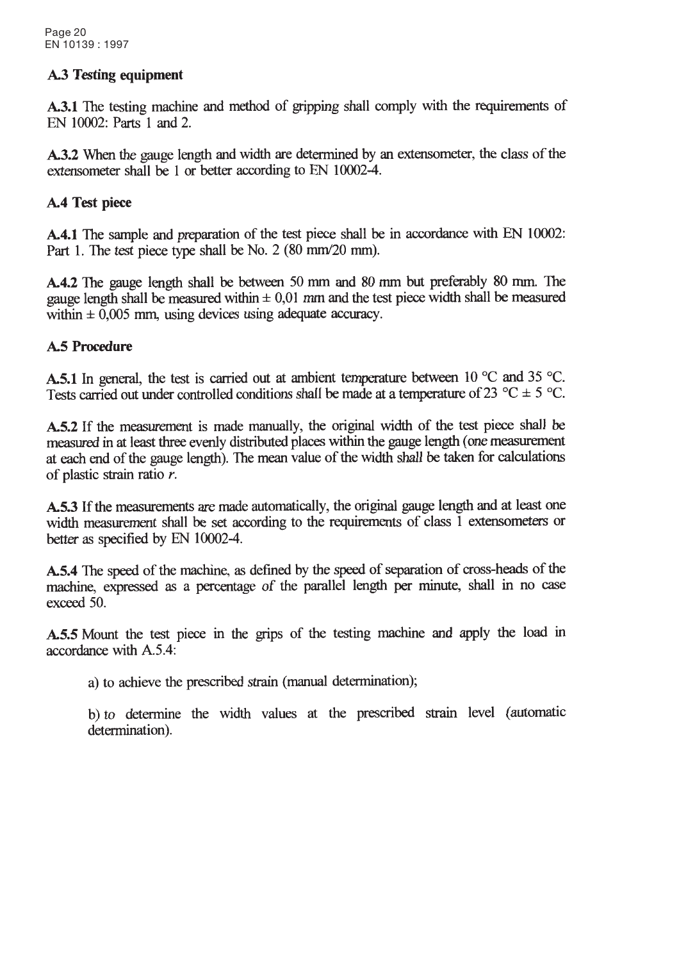# **A.3 Testing equipment**

A.3.1 The testing machine and method of gripping shall comply with the requirements of EN 10002: Parts 1 and 2.

**A.3.2** When the gauge length and width are determined by an extensometer, the class of the extensometer shall be 1 or better according to EN 10002-4.

### A.4 Test piece

A.4.1 The sample and preparation of the test piece shall be in accordance with EN 10002: Part 1. The test piece type shall be No. 2 (80 mm/20 mm).

A.4.2 The gauge length shall be between 50 mm and 80 mm but preferably 80 mm. The gauge length shall be measured within  $\pm 0.01$  mm and the test piece width shall be measured within  $\pm$  0,005 mm, using devices using adequate accuracy.

### **A.5 Procedure**

A.5.1 In general, the test is carried out at ambient temperature between 10  $^{\circ}$ C and 35  $^{\circ}$ C. Tests carried out under controlled conditions shall be made at a temperature of 23 °C  $\pm$  5 °C.

A.5.2 If the measurement is made manually, the original width of the test piece shall be measured in at least three evenly distributed places within the gauge length (one measurement at each end of the gauge length). The mean value of the width shall be taken for calculations of plastic strain ratio r.

A.5.3 If the measurements are made automatically, the original gauge length and at least one width measurement shall be set according to the requirements of class 1 extensometers or better as specified by EN 10002-4.

A.5.4 The speed of the machine, as defined by the speed of separation of cross-heads of the machine, expressed as a percentage of the parallel length per minute, shall in no case exceed 50.

A.5.5 Mount the test piece in the grips of the testing machine and apply the load in accordance with A.5.4:

a) to achieve the prescribed strain (manual determination);

b) to determine the width values at the prescribed strain level (automatic determination).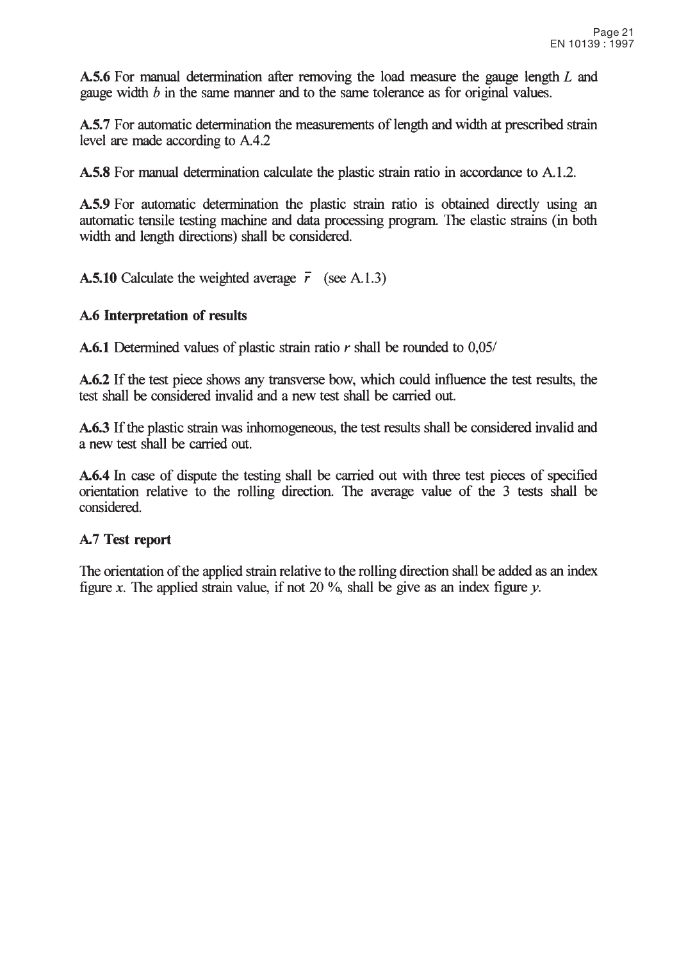A.5.6 For manual determination after removing the load measure the gauge length L and gauge width  $b$  in the same manner and to the same tolerance as for original values.

A.5.7 For automatic determination the measurements of length and width at prescribed strain level are made according to A.4.2

A.5.8 For manual determination calculate the plastic strain ratio in accordance to A.1.2.

A.5.9 For automatic determination the plastic strain ratio is obtained directly using an automatic tensile testing machine and data processing program. The elastic strains (in both width and length directions) shall be considered.

**A.5.10** Calculate the weighted average  $\vec{r}$  (see A.1.3)

#### A.6 Interpretation of results

**A.6.1** Determined values of plastic strain ratio  $r$  shall be rounded to 0,05/

A.6.2 If the test piece shows any transverse bow, which could influence the test results, the test shall be considered invalid and a new test shall be carried out.

A.6.3 If the plastic strain was inhomogeneous, the test results shall be considered invalid and a new test shall be carried out.

A.6.4 In case of dispute the testing shall be carried out with three test pieces of specified orientation relative to the rolling direction. The average value of the 3 tests shall be considered.

#### A.7 Test report

The orientation of the applied strain relative to the rolling direction shall be added as an index figure x. The applied strain value, if not 20  $\%$ , shall be give as an index figure y.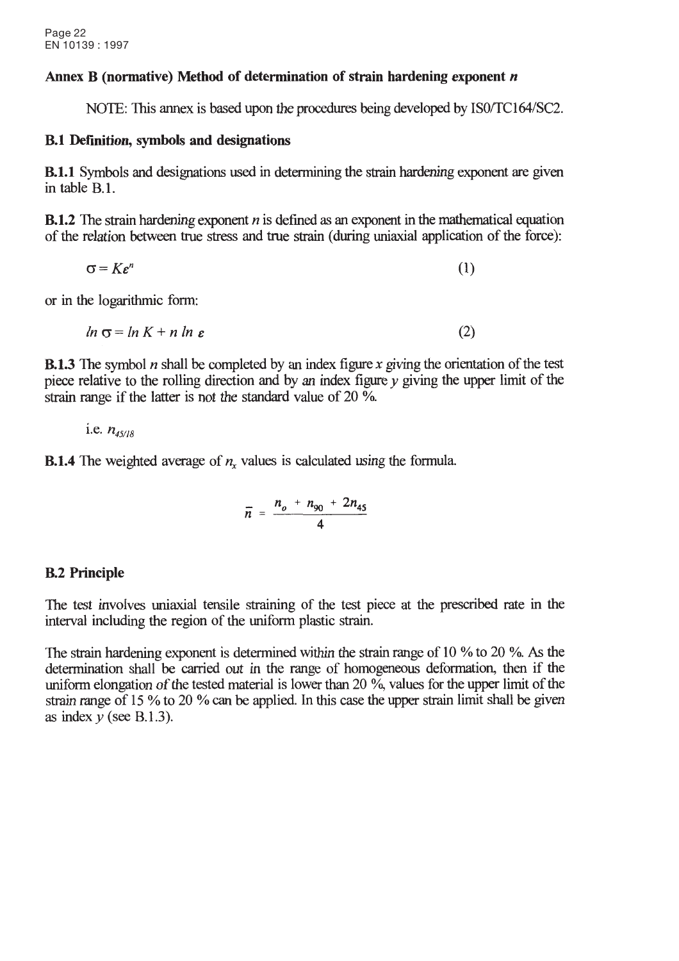#### Annex B (normative) Method of determination of strain hardening exponent n

NOTE: This annex is based upon the procedures being developed by ISO/TC164/SC2.

#### **B.1 Definition, symbols and designations**

**B.1.1** Symbols and designations used in determining the strain hardening exponent are given in table B.1.

**B.1.2** The strain hardening exponent  $n$  is defined as an exponent in the mathematical equation of the relation between true stress and true strain (during uniaxial application of the force):

$$
\sigma = K\varepsilon^n \tag{1}
$$

or in the logarithmic form:

 $\ln \sigma = \ln K + n \ln \varepsilon$  $(2)$ 

**B.1.3** The symbol *n* shall be completed by an index figure x giving the orientation of the test piece relative to the rolling direction and by an index figure  $\nu$  giving the upper limit of the strain range if the latter is not the standard value of 20  $\%$ .

i.e.  $n_{45/18}$ 

**B.1.4** The weighted average of  $n_r$  values is calculated using the formula.

$$
\bar{n} = \frac{n_o + n_{90} + 2n_{45}}{4}
$$

### **B.2 Principle**

The test involves uniaxial tensile straining of the test piece at the prescribed rate in the interval including the region of the uniform plastic strain.

The strain hardening exponent is determined within the strain range of 10  $\%$  to 20  $\%$ . As the determination shall be carried out in the range of homogeneous deformation, then if the uniform elongation of the tested material is lower than 20  $\%$ , values for the upper limit of the strain range of 15 % to 20 % can be applied. In this case the upper strain limit shall be given as index  $y$  (see B.1.3).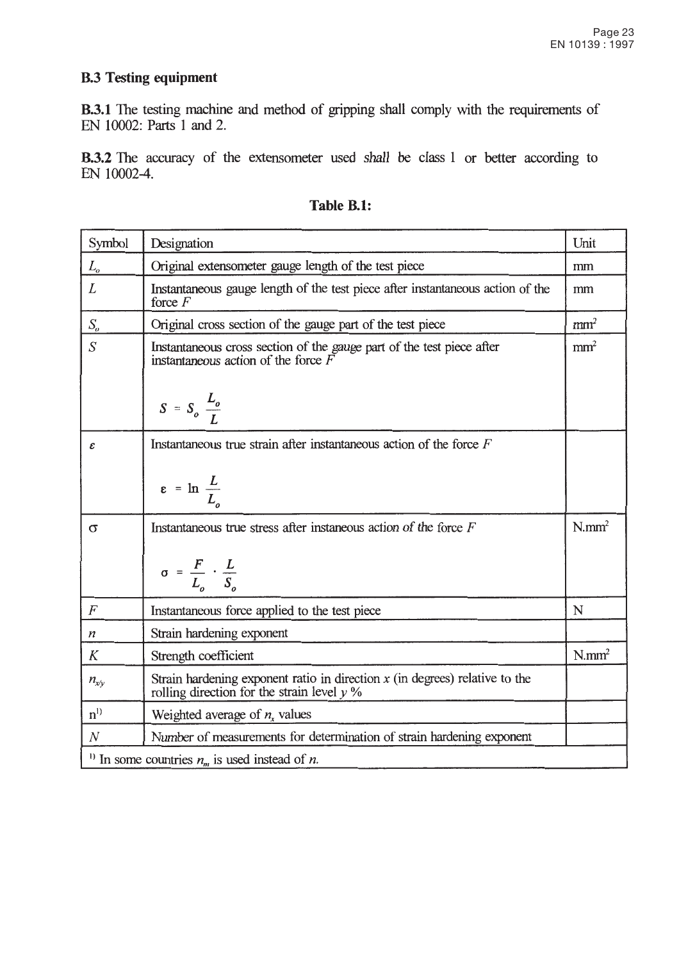# **B.3 Testing equipment**

B.3.1 The testing machine and method of gripping shall comply with the requirements of EN 10002: Parts 1 and 2.

**B.3.2** The accuracy of the extensometer used shall be class 1 or better according to EN 10002-4.

| Symbol                     | Designation                                                                                                                   | Unit                 |
|----------------------------|-------------------------------------------------------------------------------------------------------------------------------|----------------------|
| $L_{o}$                    | Original extensometer gauge length of the test piece                                                                          | mm                   |
| $\overline{L}$             | Instantaneous gauge length of the test piece after instantaneous action of the<br>force $F$                                   | mm                   |
| $S_{\!o}$                  | Original cross section of the gauge part of the test piece                                                                    | mm <sup>2</sup>      |
| $\overline{S}$             | Instantaneous cross section of the gauge part of the test piece after<br>instantaneous action of the force $\vec{F}$          | mm <sup>2</sup>      |
|                            | $S = S_o \frac{L_o}{I}$                                                                                                       |                      |
| $\boldsymbol{\mathcal{E}}$ | Instantaneous true strain after instantaneous action of the force $F$                                                         |                      |
|                            | $\epsilon = \ln \frac{L}{L_o}$                                                                                                |                      |
| $\sigma$                   | Instantaneous true stress after instaneous action of the force $F$                                                            | $N$ .mm <sup>2</sup> |
|                            | $\sigma = \frac{F}{L_o} \cdot \frac{L}{S_o}$                                                                                  |                      |
| $\overline{F}$             | Instantaneous force applied to the test piece                                                                                 | N                    |
| $\boldsymbol{n}$           | Strain hardening exponent                                                                                                     |                      |
| K                          | Strength coefficient                                                                                                          | $N/mm^2$             |
| $n_{x/v}$                  | Strain hardening exponent ratio in direction $x$ (in degrees) relative to the<br>rolling direction for the strain level $y\%$ |                      |
| $n^{1}$                    | Weighted average of $n_x$ values                                                                                              |                      |
| $\boldsymbol{N}$           | Number of measurements for determination of strain hardening exponent                                                         |                      |
|                            | <sup>1)</sup> In some countries $n_m$ is used instead of <i>n</i> .                                                           |                      |

| Table B.1: |  |
|------------|--|
|            |  |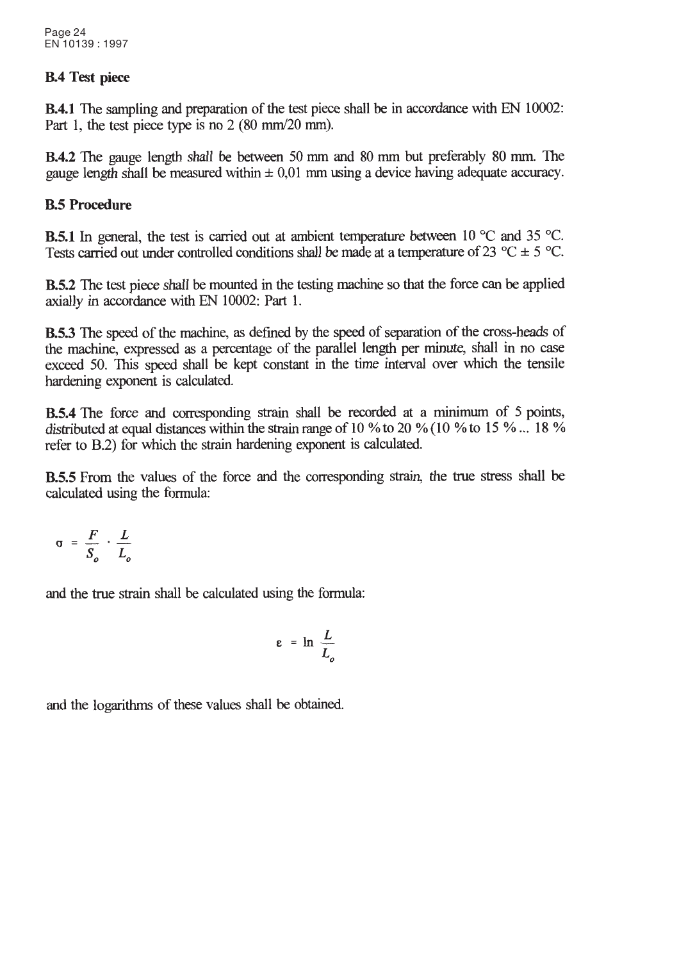#### **B.4 Test piece**

**B.4.1** The sampling and preparation of the test piece shall be in accordance with EN 10002: Part 1, the test piece type is no 2 (80 mm/20 mm).

**B.4.2** The gauge length shall be between 50 mm and 80 mm but preferably 80 mm. The gauge length shall be measured within  $\pm 0.01$  mm using a device having adequate accuracy.

# **B.5 Procedure**

**B.5.1** In general, the test is carried out at ambient temperature between 10  $^{\circ}$ C and 35  $^{\circ}$ C. Tests carried out under controlled conditions shall be made at a temperature of 23 °C  $\pm$  5 °C.

**B.5.2** The test piece shall be mounted in the testing machine so that the force can be applied axially in accordance with EN 10002: Part 1.

**B.5.3** The speed of the machine, as defined by the speed of separation of the cross-heads of the machine, expressed as a percentage of the parallel length per minute, shall in no case exceed 50. This speed shall be kept constant in the time interval over which the tensile hardening exponent is calculated.

**B.5.4** The force and corresponding strain shall be recorded at a minimum of 5 points, distributed at equal distances within the strain range of 10 % to 20 % (10 % to 15 %  $\ldots$  18 % refer to B.2) for which the strain hardening exponent is calculated.

**B.5.5** From the values of the force and the corresponding strain, the true stress shall be calculated using the formula:

$$
\sigma = \frac{F}{S_o} \cdot \frac{L}{L_o}
$$

and the true strain shall be calculated using the formula:

$$
\varepsilon = \ln \frac{L}{L_o}
$$

and the logarithms of these values shall be obtained.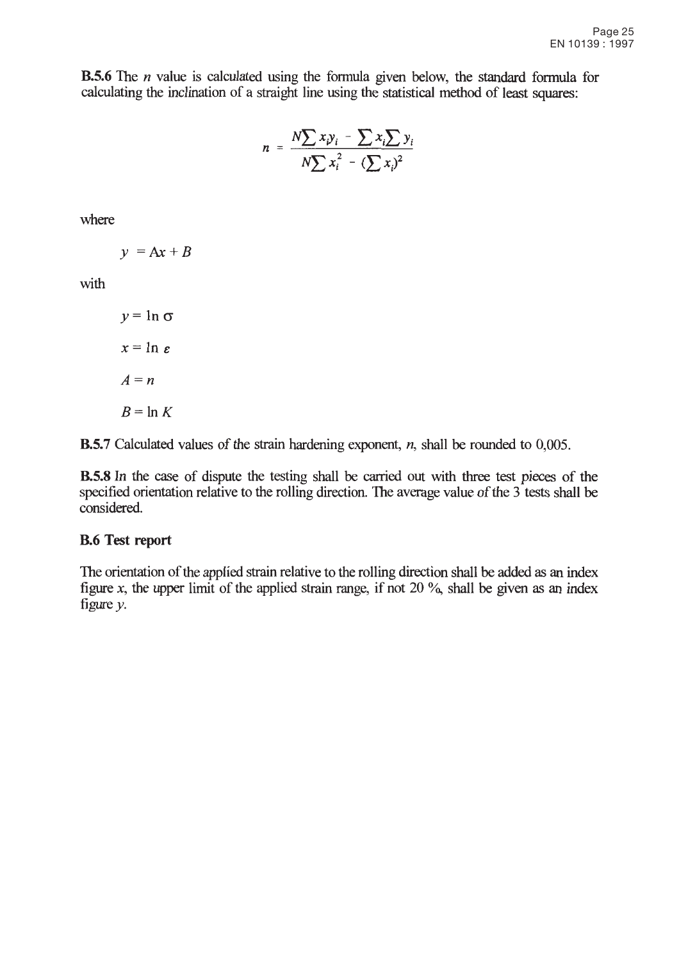**B.5.6** The *n* value is calculated using the formula given below, the standard formula for calculating the inclination of a straight line using the statistical method of least squares:

$$
n = \frac{N \sum x_i y_i - \sum x_i \sum y_i}{N \sum x_i^2 - (\sum x_i)^2}
$$

where

$$
y = Ax + B
$$

with

$$
y = \ln \sigma
$$

$$
x = \ln \varepsilon
$$

$$
A = n
$$

$$
B = \ln K
$$

**B.5.7** Calculated values of the strain hardening exponent,  $n$ , shall be rounded to 0,005.

**B.5.8** In the case of dispute the testing shall be carried out with three test pieces of the specified orientation relative to the rolling direction. The average value of the 3 tests shall be considered.

### **B.6 Test report**

The orientation of the applied strain relative to the rolling direction shall be added as an index figure x, the upper limit of the applied strain range, if not 20  $\%$ , shall be given as an index figure  $y$ .